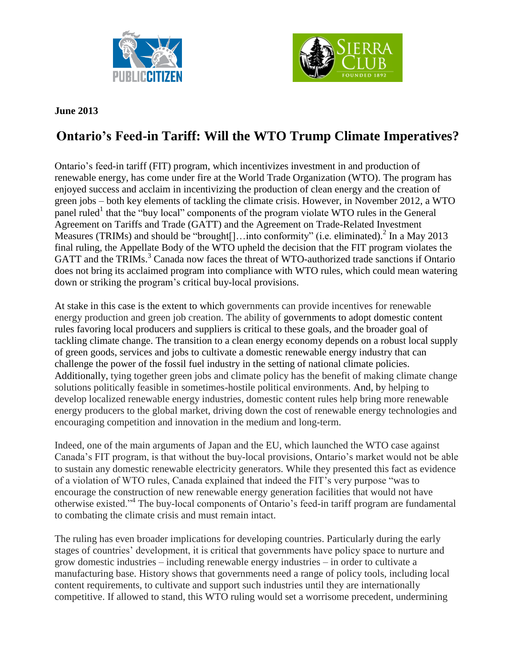



# **June 2013**

# **Ontario's Feed-in Tariff: Will the WTO Trump Climate Imperatives?**

Ontario's feed-in tariff (FIT) program, which incentivizes investment in and production of renewable energy, has come under fire at the World Trade Organization (WTO). The program has enjoyed success and acclaim in incentivizing the production of clean energy and the creation of green jobs – both key elements of tackling the climate crisis. However, in November 2012, a WTO panel ruled<sup>1</sup> that the "buy local" components of the program violate WTO rules in the General Agreement on Tariffs and Trade (GATT) and the Agreement on Trade-Related Investment Measures (TRIMs) and should be "brought[]...into conformity" (i.e. eliminated).<sup>2</sup> In a May 2013 final ruling, the Appellate Body of the WTO upheld the decision that the FIT program violates the GATT and the TRIMs. <sup>3</sup> Canada now faces the threat of WTO-authorized trade sanctions if Ontario does not bring its acclaimed program into compliance with WTO rules, which could mean watering down or striking the program's critical buy-local provisions.

At stake in this case is the extent to which governments can provide incentives for renewable energy production and green job creation. The ability of governments to adopt domestic content rules favoring local producers and suppliers is critical to these goals, and the broader goal of tackling climate change. The transition to a clean energy economy depends on a robust local supply of green goods, services and jobs to cultivate a domestic renewable energy industry that can challenge the power of the fossil fuel industry in the setting of national climate policies. Additionally, tying together green jobs and climate policy has the benefit of making climate change solutions politically feasible in sometimes-hostile political environments. And, by helping to develop localized renewable energy industries, domestic content rules help bring more renewable energy producers to the global market, driving down the cost of renewable energy technologies and encouraging competition and innovation in the medium and long-term.

Indeed, one of the main arguments of Japan and the EU, which launched the WTO case against Canada's FIT program, is that without the buy-local provisions, Ontario's market would not be able to sustain any domestic renewable electricity generators. While they presented this fact as evidence of a violation of WTO rules, Canada explained that indeed the FIT's very purpose "was to encourage the construction of new renewable energy generation facilities that would not have otherwise existed."<sup>4</sup> The buy-local components of Ontario's feed-in tariff program are fundamental to combating the climate crisis and must remain intact.

The ruling has even broader implications for developing countries. Particularly during the early stages of countries' development, it is critical that governments have policy space to nurture and grow domestic industries – including renewable energy industries – in order to cultivate a manufacturing base. History shows that governments need a range of policy tools, including local content requirements, to cultivate and support such industries until they are internationally competitive. If allowed to stand, this WTO ruling would set a worrisome precedent, undermining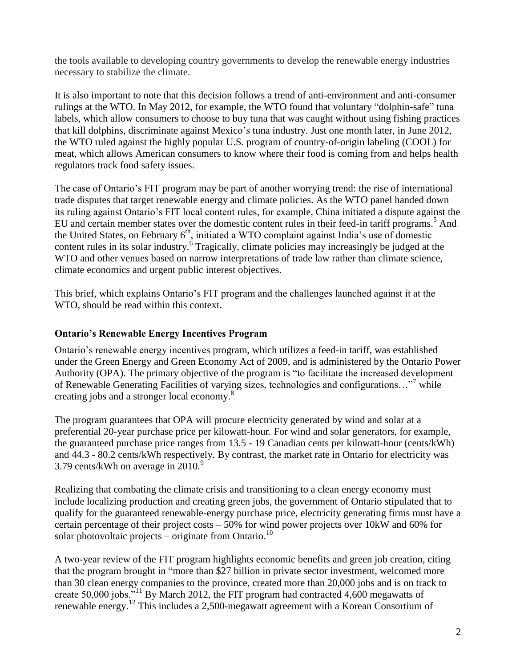the tools available to developing country governments to develop the renewable energy industries necessary to stabilize the climate.

It is also important to note that this decision follows a trend of anti-environment and anti-consumer rulings at the WTO. In May 2012, for example, the WTO found that voluntary "dolphin-safe" tuna labels, which allow consumers to choose to buy tuna that was caught without using fishing practices that kill dolphins, discriminate against Mexico's tuna industry. Just one month later, in June 2012, the WTO ruled against the highly popular U.S. program of country-of-origin labeling (COOL) for meat, which allows American consumers to know where their food is coming from and helps health regulators track food safety issues.

The case of Ontario's FIT program may be part of another worrying trend: the rise of international trade disputes that target renewable energy and climate policies. As the WTO panel handed down its ruling against Ontario's FIT local content rules, for example, China initiated a dispute against the EU and certain member states over the domestic content rules in their feed-in tariff programs.<sup>5</sup> And the United States, on February  $6<sup>th</sup>$ , initiated a WTO complaint against India's use of domestic content rules in its solar industry.  $\stackrel{\circ}{\circ}$  Tragically, climate policies may increasingly be judged at the WTO and other venues based on narrow interpretations of trade law rather than climate science, climate economics and urgent public interest objectives.

This brief, which explains Ontario's FIT program and the challenges launched against it at the WTO, should be read within this context.

## **Ontario's Renewable Energy Incentives Program**

Ontario's renewable energy incentives program, which utilizes a feed-in tariff, was established under the Green Energy and Green Economy Act of 2009, and is administered by the Ontario Power Authority (OPA). The primary objective of the program is "to facilitate the increased development of Renewable Generating Facilities of varying sizes, technologies and configurations…"<sup>7</sup> while creating jobs and a stronger local economy.<sup>8</sup>

The program guarantees that OPA will procure electricity generated by wind and solar at a preferential 20-year purchase price per kilowatt-hour. For wind and solar generators, for example, the guaranteed purchase price ranges from 13.5 - 19 Canadian cents per kilowatt-hour (cents/kWh) and 44.3 - 80.2 cents/kWh respectively. By contrast, the market rate in Ontario for electricity was 3.79 cents/kWh on average in  $2010$ .<sup>9</sup>

Realizing that combating the climate crisis and transitioning to a clean energy economy must include localizing production and creating green jobs, the government of Ontario stipulated that to qualify for the guaranteed renewable-energy purchase price, electricity generating firms must have a certain percentage of their project costs – 50% for wind power projects over 10kW and 60% for solar photovoltaic projects – originate from Ontario. $^{10}$ 

A two-year review of the FIT program highlights economic benefits and green job creation, citing that the program brought in "more than \$27 billion in private sector investment, welcomed more than 30 clean energy companies to the province, created more than 20,000 jobs and is on track to create 50,000 jobs."<sup>11</sup> By March 2012, the FIT program had contracted 4,600 megawatts of renewable energy.<sup>12</sup> This includes a 2,500-megawatt agreement with a Korean Consortium of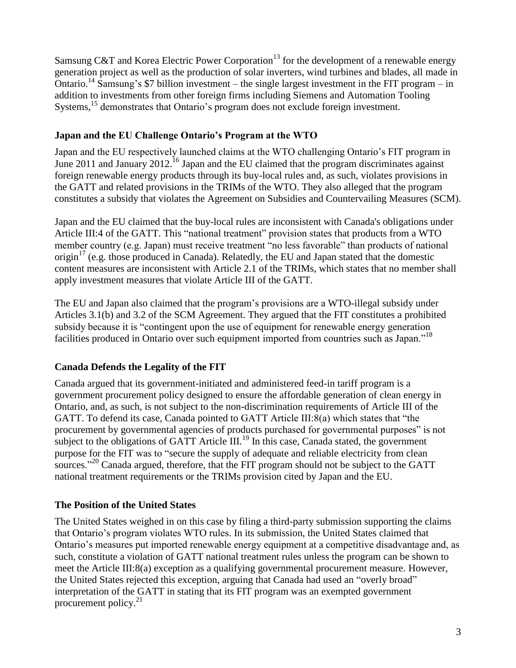Samsung C&T and Korea Electric Power Corporation<sup>13</sup> for the development of a renewable energy generation project as well as the production of solar inverters, wind turbines and blades, all made in Ontario.<sup>14</sup> Samsung's \$7 billion investment – the single largest investment in the FIT program – in addition to investments from other foreign firms including Siemens and Automation Tooling Systems,<sup>15</sup> demonstrates that Ontario's program does not exclude foreign investment.

#### **Japan and the EU Challenge Ontario's Program at the WTO**

Japan and the EU respectively launched claims at the WTO challenging Ontario's FIT program in June 2011 and January 2012.<sup>16</sup> Japan and the EU claimed that the program discriminates against foreign renewable energy products through its buy-local rules and, as such, violates provisions in the GATT and related provisions in the TRIMs of the WTO. They also alleged that the program constitutes a subsidy that violates the Agreement on Subsidies and Countervailing Measures (SCM).

Japan and the EU claimed that the buy-local rules are inconsistent with Canada's obligations under Article III:4 of the GATT. This "national treatment" provision states that products from a WTO member country (e.g. Japan) must receive treatment "no less favorable" than products of national origin<sup>17</sup> (e.g. those produced in Canada). Relatedly, the EU and Japan stated that the domestic content measures are inconsistent with Article 2.1 of the TRIMs, which states that no member shall apply investment measures that violate Article III of the GATT.

The EU and Japan also claimed that the program's provisions are a WTO-illegal subsidy under Articles 3.1(b) and 3.2 of the SCM Agreement. They argued that the FIT constitutes a prohibited subsidy because it is "contingent upon the use of equipment for renewable energy generation facilities produced in Ontario over such equipment imported from countries such as Japan."<sup>18</sup>

# **Canada Defends the Legality of the FIT**

Canada argued that its government-initiated and administered feed-in tariff program is a government procurement policy designed to ensure the affordable generation of clean energy in Ontario, and, as such, is not subject to the non-discrimination requirements of Article III of the GATT. To defend its case, Canada pointed to GATT Article III:8(a) which states that "the procurement by governmental agencies of products purchased for governmental purposes" is not subject to the obligations of GATT Article III.<sup>19</sup> In this case, Canada stated, the government purpose for the FIT was to "secure the supply of adequate and reliable electricity from clean sources."<sup>20</sup> Canada argued, therefore, that the FIT program should not be subject to the GATT national treatment requirements or the TRIMs provision cited by Japan and the EU.

# **The Position of the United States**

The United States weighed in on this case by filing a third-party submission supporting the claims that Ontario's program violates WTO rules. In its submission, the United States claimed that Ontario's measures put imported renewable energy equipment at a competitive disadvantage and, as such, constitute a violation of GATT national treatment rules unless the program can be shown to meet the Article III:8(a) exception as a qualifying governmental procurement measure. However, the United States rejected this exception, arguing that Canada had used an "overly broad" interpretation of the GATT in stating that its FIT program was an exempted government procurement policy.<sup>21</sup>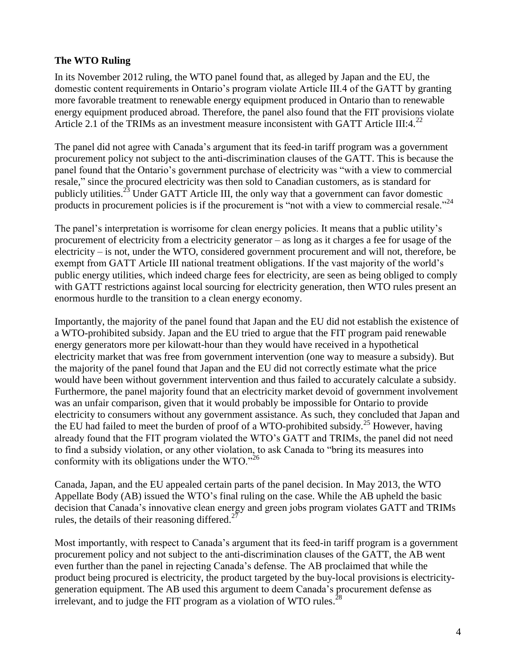## **The WTO Ruling**

In its November 2012 ruling, the WTO panel found that, as alleged by Japan and the EU, the domestic content requirements in Ontario's program violate Article III.4 of the GATT by granting more favorable treatment to renewable energy equipment produced in Ontario than to renewable energy equipment produced abroad. Therefore, the panel also found that the FIT provisions violate Article 2.1 of the TRIMs as an investment measure inconsistent with GATT Article III:4.<sup>22</sup>

The panel did not agree with Canada's argument that its feed-in tariff program was a government procurement policy not subject to the anti-discrimination clauses of the GATT. This is because the panel found that the Ontario's government purchase of electricity was "with a view to commercial resale," since the procured electricity was then sold to Canadian customers, as is standard for publicly utilities.<sup>23</sup> Under GATT Article III, the only way that a government can favor domestic products in procurement policies is if the procurement is "not with a view to commercial resale."<sup>24</sup>

The panel's interpretation is worrisome for clean energy policies. It means that a public utility's procurement of electricity from a electricity generator – as long as it charges a fee for usage of the electricity – is not, under the WTO, considered government procurement and will not, therefore, be exempt from GATT Article III national treatment obligations. If the vast majority of the world's public energy utilities, which indeed charge fees for electricity, are seen as being obliged to comply with GATT restrictions against local sourcing for electricity generation, then WTO rules present an enormous hurdle to the transition to a clean energy economy.

Importantly, the majority of the panel found that Japan and the EU did not establish the existence of a WTO-prohibited subsidy. Japan and the EU tried to argue that the FIT program paid renewable energy generators more per kilowatt-hour than they would have received in a hypothetical electricity market that was free from government intervention (one way to measure a subsidy). But the majority of the panel found that Japan and the EU did not correctly estimate what the price would have been without government intervention and thus failed to accurately calculate a subsidy. Furthermore, the panel majority found that an electricity market devoid of government involvement was an unfair comparison, given that it would probably be impossible for Ontario to provide electricity to consumers without any government assistance. As such, they concluded that Japan and the EU had failed to meet the burden of proof of a WTO-prohibited subsidy.<sup>25</sup> However, having already found that the FIT program violated the WTO's GATT and TRIMs, the panel did not need to find a subsidy violation, or any other violation, to ask Canada to "bring its measures into conformity with its obligations under the WTO. $^{226}$ 

Canada, Japan, and the EU appealed certain parts of the panel decision. In May 2013, the WTO Appellate Body (AB) issued the WTO's final ruling on the case. While the AB upheld the basic decision that Canada's innovative clean energy and green jobs program violates GATT and TRIMs rules, the details of their reasoning differed.<sup>27</sup>

Most importantly, with respect to Canada's argument that its feed-in tariff program is a government procurement policy and not subject to the anti-discrimination clauses of the GATT, the AB went even further than the panel in rejecting Canada's defense. The AB proclaimed that while the product being procured is electricity, the product targeted by the buy-local provisions is electricitygeneration equipment. The AB used this argument to deem Canada's procurement defense as irrelevant, and to judge the FIT program as a violation of WTO rules.<sup>28</sup>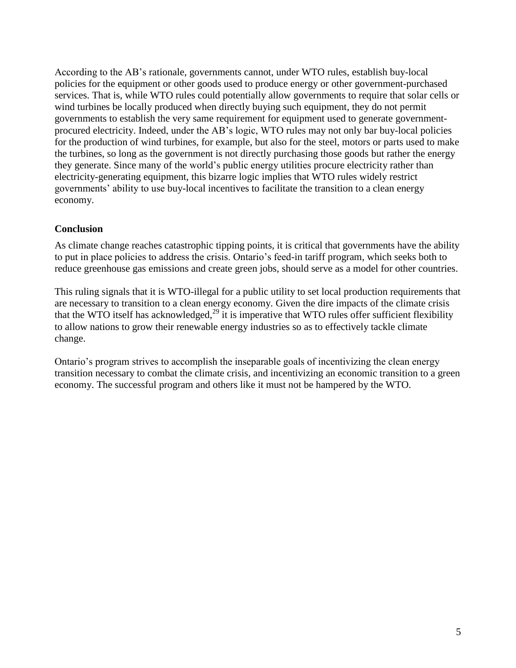According to the AB's rationale, governments cannot, under WTO rules, establish buy-local policies for the equipment or other goods used to produce energy or other government-purchased services. That is, while WTO rules could potentially allow governments to require that solar cells or wind turbines be locally produced when directly buying such equipment, they do not permit governments to establish the very same requirement for equipment used to generate governmentprocured electricity. Indeed, under the AB's logic, WTO rules may not only bar buy-local policies for the production of wind turbines, for example, but also for the steel, motors or parts used to make the turbines, so long as the government is not directly purchasing those goods but rather the energy they generate. Since many of the world's public energy utilities procure electricity rather than electricity-generating equipment, this bizarre logic implies that WTO rules widely restrict governments' ability to use buy-local incentives to facilitate the transition to a clean energy economy.

#### **Conclusion**

As climate change reaches catastrophic tipping points, it is critical that governments have the ability to put in place policies to address the crisis. Ontario's feed-in tariff program, which seeks both to reduce greenhouse gas emissions and create green jobs, should serve as a model for other countries.

This ruling signals that it is WTO-illegal for a public utility to set local production requirements that are necessary to transition to a clean energy economy. Given the dire impacts of the climate crisis that the WTO itself has acknowledged,  $^{29}$  it is imperative that WTO rules offer sufficient flexibility to allow nations to grow their renewable energy industries so as to effectively tackle climate change.

Ontario's program strives to accomplish the inseparable goals of incentivizing the clean energy transition necessary to combat the climate crisis, and incentivizing an economic transition to a green economy. The successful program and others like it must not be hampered by the WTO.